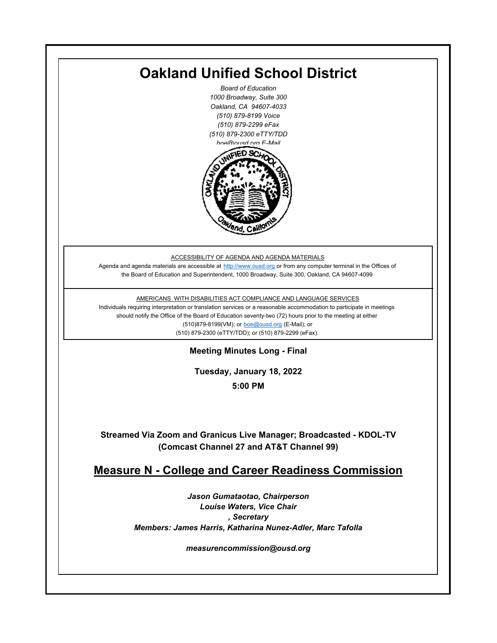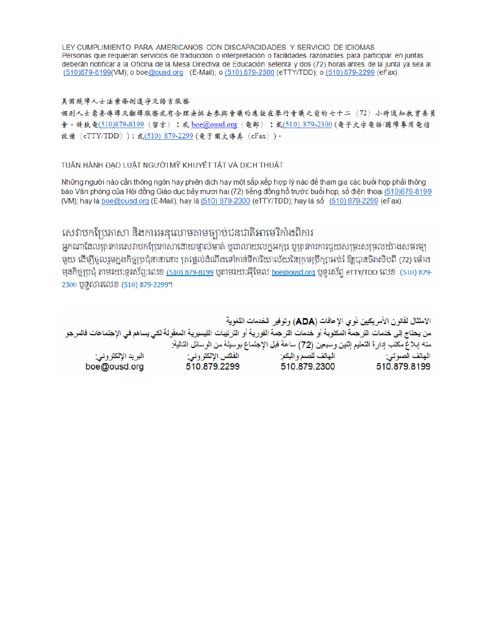LEY CUMPLIMIENTO PARA AMERICANOS CON DISCAPACIDADES Y SERVICIO DE IDIOMAS Personas que requieran servicios de traducción o interpretación o facilidades razonables para participar en juntas deberán notificar a la Oficina de la Mesa Directiva de Educación setenta y dos (72) horas antes de la junta ya sea al (510)879-8199(VM); o boe@ousd.org (E-Mail); o (510) 879-2300 (eTTY/TDD); o (510) 879-2299 (eFax).

#### 美国残障人士法案條例遵守及語言服務

個别人士需要傳譯及翻譯服務或有合理安排去參與會議的應該在舉行會議之前的七十二 (72) 小時通知教育委員 會。請致電(510)879-8199(留言);或 boe@ousd.org (電郵) ;或(510) 879-2300 (電子文字電話/聽障專用電信 設備 (eTTY/TDD));或(510)879-2299(電子圖文傳真 (eFax))。

### TUÂN HÀNH ĐẠO LUẬT NGƯỜI MỸ KHUYẾT TẤT VÀ DỊCH THUẬT

Những người nào cần thông ngôn hay phiên dịch hay một sắp xếp hợp lý nào để tham gia các buổi họp phải thông báo Văn phòng của Hội đồng Giáo dục bảy mươi hai (72) tiếng đồng hồ trước buổi họp, số điện thoại (510)879-8199 (VM); hay là boe@ousd.org (E-Mail); hay là (510) 879-2300 (eTTY/TDD); hay là số (510) 879-2299 (eFax).

# សេវាបកប្រែភាសា និងការអនុលោមតាមច្បាប់ជនជាតិអាមេរិកាំងពិការ

អកណាដែលតេវការសេវាបកប្រែភាសាដោយផ្ទាល់មាត់ ឬជាលាយលក្ខអក្សរ ឬត្រូវការការជួយសម្រះសម្រលយ៉ាងសមរម្យ មយ ដើម្បីចលរមកងកិច្ចប្រជុំនានានោះ ត្រូវផ្តល់ដំណឹងទៅកាន់ទីការិយាល័យនៃក្រមប្រឹក្សាអប់រំ ឱ្យបានចិតសិបពី (72) ម៉ោង ម្មនកិច្ចប្រជុំ តាមរយៈទូរស័ព្ទ:លេខ (<u>510) 879-8199</u> បុតាមរយៈអ៊ីមែល <u>boe@ousd.org</u> បុទ្**រ**ស័ព្ទ eTTY/TDD លេខ (510) 879-2300 ប៊ូទ្មិសារលេខ (510) 879-2299។

الامتثال لقانون الأمريكيين نو ي الإعاقات (ADA) وتوفير الخدمات اللغوية من يحتاج إلى خدمات التر جمة المكتوبة أو خدمات التر جمة الفورية أو الترتيبات التيسيرية المعفّولة لكي يساهم في الإجتماعات فالمرجو منه إبلاغ مكتب إدارة التعليم إثنين وسبعين (72) ساعة قبل الإجتماع بوسيلة من الوسائل التالية: البريد الإلكتروني: 510.879.2299 boe@ousd.org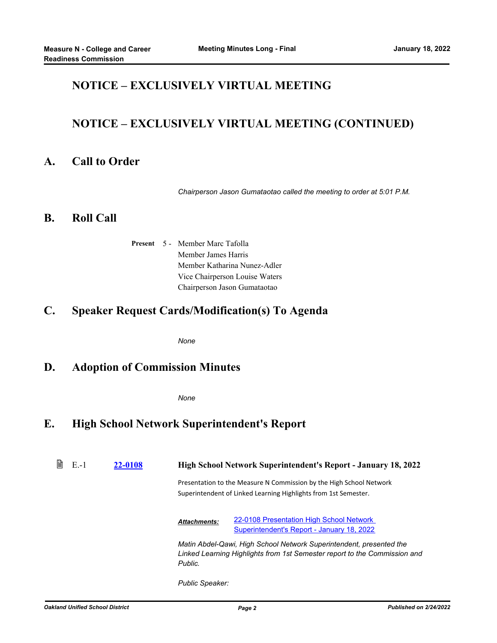# **NOTICE – EXCLUSIVELY VIRTUAL MEETING**

# **NOTICE – EXCLUSIVELY VIRTUAL MEETING (CONTINUED)**

### **A. Call to Order**

*Chairperson Jason Gumataotao called the meeting to order at 5:01 P.M.*

### **B. Roll Call**

Present 5 - Member Marc Tafolla Member James Harris Member Katharina Nunez-Adler Vice Chairperson Louise Waters Chairperson Jason Gumataotao

## **C. Speaker Request Cards/Modification(s) To Agenda**

*None*

### **D. Adoption of Commission Minutes**

*None*

## **E. High School Network Superintendent's Report**

| $E - 1$ | 22-0108 | <b>High School Network Superintendent's Report - January 18, 2022</b>                                                                                       |                                                                                        |  |
|---------|---------|-------------------------------------------------------------------------------------------------------------------------------------------------------------|----------------------------------------------------------------------------------------|--|
|         |         | Presentation to the Measure N Commission by the High School Network<br>Superintendent of Linked Learning Highlights from 1st Semester.                      |                                                                                        |  |
|         |         | <b>Attachments:</b>                                                                                                                                         | 22-0108 Presentation High School Network<br>Superintendent's Report - January 18, 2022 |  |
|         |         | Matin Abdel-Qawi, High School Network Superintendent, presented the<br>Linked Learning Highlights from 1st Semester report to the Commission and<br>Public. |                                                                                        |  |
|         |         |                                                                                                                                                             |                                                                                        |  |

*Public Speaker:*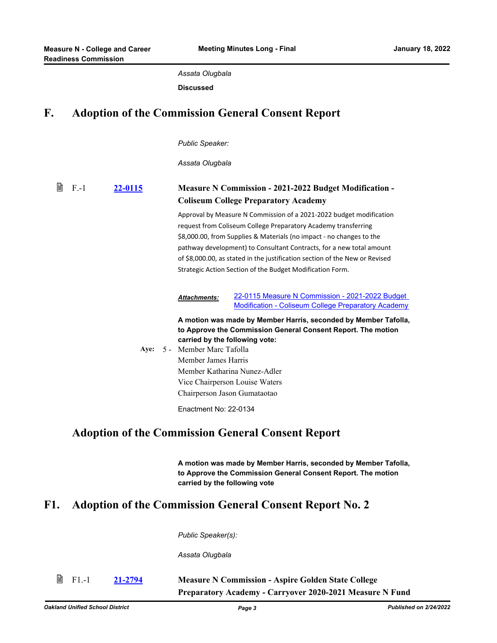*Assata Olugbala*

**Discussed**

# **F. Adoption of the Commission General Consent Report**

*Public Speaker:*

*Assata Olugbala*

| 閶<br>$F-1$ | 22-0115 | <b>Measure N Commission - 2021-2022 Budget Modification -</b><br><b>Coliseum College Preparatory Academy</b>                                                                                                                                                                                                                                                                                                                      |  |
|------------|---------|-----------------------------------------------------------------------------------------------------------------------------------------------------------------------------------------------------------------------------------------------------------------------------------------------------------------------------------------------------------------------------------------------------------------------------------|--|
|            |         | Approval by Measure N Commission of a 2021-2022 budget modification<br>request from Coliseum College Preparatory Academy transferring<br>\$8,000.00, from Supplies & Materials (no impact - no changes to the<br>pathway development) to Consultant Contracts, for a new total amount<br>of \$8,000.00, as stated in the justification section of the New or Revised<br>Strategic Action Section of the Budget Modification Form. |  |
|            |         | 22-0115 Measure N Commission - 2021-2022 Budget<br><b>Attachments:</b><br><b>Modification - Coliseum College Preparatory Academy</b>                                                                                                                                                                                                                                                                                              |  |
|            | Aye:    | A motion was made by Member Harris, seconded by Member Tafolla,<br>to Approve the Commission General Consent Report. The motion<br>carried by the following vote:<br>5 - Member Marc Tafolla<br>Member James Harris<br>Member Katharina Nunez-Adler<br>Vice Chairperson Louise Waters                                                                                                                                             |  |
|            |         | Chairperson Jason Gumataotao<br>Enactment No: 22-0134                                                                                                                                                                                                                                                                                                                                                                             |  |
|            |         | Adoption of the Commission Conqual Consent Depart                                                                                                                                                                                                                                                                                                                                                                                 |  |

## **Adoption of the Commission General Consent Report**

**A motion was made by Member Harris, seconded by Member Tafolla, to Approve the Commission General Consent Report. The motion carried by the following vote**

## **F1. Adoption of the Commission General Consent Report No. 2**

*Public Speaker(s):*

*Assata Olugbala*

| $\mathbb{B}$ F1.-1 | 21-2794 | <b>Measure N Commission - Aspire Golden State College</b>       |  |
|--------------------|---------|-----------------------------------------------------------------|--|
|                    |         | <b>Preparatory Academy - Carryover 2020-2021 Measure N Fund</b> |  |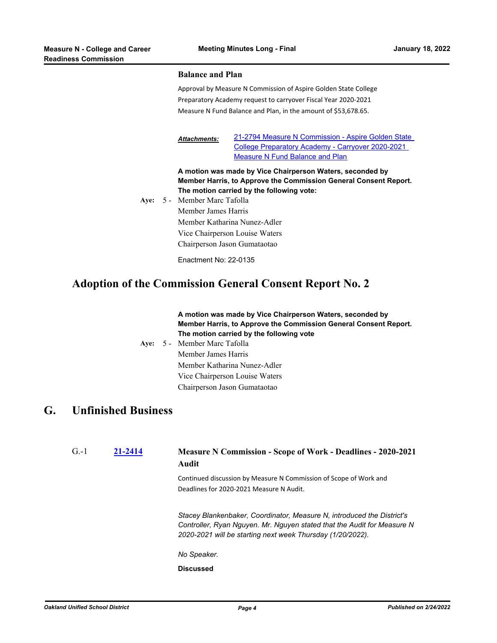#### **Balance and Plan**

Approval by Measure N Commission of Aspire Golden State College Preparatory Academy request to carryover Fiscal Year 2020-2021 Measure N Fund Balance and Plan, in the amount of \$53,678.65.

[21-2794 Measure N Commission - Aspire Golden State](http://ousd.legistar.com/gateway.aspx?M=F&ID=102012.pdf)  College Preparatory Academy - Carryover 2020-2021 Measure N Fund Balance and Plan *Attachments:*

**A motion was made by Vice Chairperson Waters, seconded by Member Harris, to Approve the Commission General Consent Report. The motion carried by the following vote:**

Aye: 5 - Member Marc Tafolla Member James Harris Member Katharina Nunez-Adler Vice Chairperson Louise Waters Chairperson Jason Gumataotao

Enactment No: 22-0135

## **Adoption of the Commission General Consent Report No. 2**

#### **A motion was made by Vice Chairperson Waters, seconded by Member Harris, to Approve the Commission General Consent Report. The motion carried by the following vote**

**Aye:** Member Marc Tafolla Member James Harris Member Katharina Nunez-Adler Vice Chairperson Louise Waters Chairperson Jason Gumataotao Ave:  $5 -$ 

### **G. Unfinished Business**

| $G-1$ | 21-2414 | <b>Measure N Commission - Scope of Work - Deadlines - 2020-2021</b><br>Audit                                                                                                                                    |
|-------|---------|-----------------------------------------------------------------------------------------------------------------------------------------------------------------------------------------------------------------|
|       |         | Continued discussion by Measure N Commission of Scope of Work and<br>Deadlines for 2020-2021 Measure N Audit.                                                                                                   |
|       |         | Stacey Blankenbaker, Coordinator, Measure N, introduced the District's<br>Controller, Ryan Nguyen. Mr. Nguyen stated that the Audit for Measure N<br>2020-2021 will be starting next week Thursday (1/20/2022). |
|       |         | No Speaker.                                                                                                                                                                                                     |
|       |         | <b>Discussed</b>                                                                                                                                                                                                |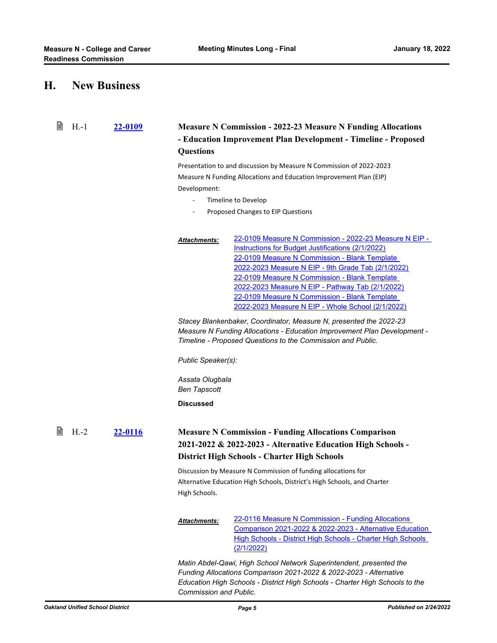## **H. New Business**

| B<br>$H.-1$ | 22-0109 | <b>Measure N Commission - 2022-23 Measure N Funding Allocations</b>                                                                                                                                                                                                                                                                                                                                                                                  |  |  |
|-------------|---------|------------------------------------------------------------------------------------------------------------------------------------------------------------------------------------------------------------------------------------------------------------------------------------------------------------------------------------------------------------------------------------------------------------------------------------------------------|--|--|
|             |         | - Education Improvement Plan Development - Timeline - Proposed                                                                                                                                                                                                                                                                                                                                                                                       |  |  |
|             |         | <b>Questions</b>                                                                                                                                                                                                                                                                                                                                                                                                                                     |  |  |
|             |         | Presentation to and discussion by Measure N Commission of 2022-2023<br>Measure N Funding Allocations and Education Improvement Plan (EIP)                                                                                                                                                                                                                                                                                                            |  |  |
|             |         |                                                                                                                                                                                                                                                                                                                                                                                                                                                      |  |  |
|             |         | Development:                                                                                                                                                                                                                                                                                                                                                                                                                                         |  |  |
|             |         | Timeline to Develop<br>$\blacksquare$                                                                                                                                                                                                                                                                                                                                                                                                                |  |  |
|             |         | Proposed Changes to EIP Questions                                                                                                                                                                                                                                                                                                                                                                                                                    |  |  |
|             |         | 22-0109 Measure N Commission - 2022-23 Measure N EIP -<br><b>Attachments:</b><br>Instructions for Budget Justifications (2/1/2022)<br>22-0109 Measure N Commission - Blank Template<br>2022-2023 Measure N EIP - 9th Grade Tab (2/1/2022)<br>22-0109 Measure N Commission - Blank Template<br>2022-2023 Measure N EIP - Pathway Tab (2/1/2022)<br>22-0109 Measure N Commission - Blank Template<br>2022-2023 Measure N EIP - Whole School (2/1/2022) |  |  |
|             |         | Stacey Blankenbaker, Coordinator, Measure N, presented the 2022-23<br>Measure N Funding Allocations - Education Improvement Plan Development -<br>Timeline - Proposed Questions to the Commission and Public.                                                                                                                                                                                                                                        |  |  |
|             |         | Public Speaker(s):                                                                                                                                                                                                                                                                                                                                                                                                                                   |  |  |
|             |         | Assata Olugbala<br><b>Ben Tapscott</b>                                                                                                                                                                                                                                                                                                                                                                                                               |  |  |
|             |         | <b>Discussed</b>                                                                                                                                                                                                                                                                                                                                                                                                                                     |  |  |
| 閶<br>$H.-2$ | 22-0116 | <b>Measure N Commission - Funding Allocations Comparison</b><br>2021-2022 & 2022-2023 - Alternative Education High Schools -<br><b>District High Schools - Charter High Schools</b>                                                                                                                                                                                                                                                                  |  |  |
|             |         | Discussion by Measure N Commission of funding allocations for<br>Alternative Education High Schools, District's High Schools, and Charter<br>High Schools.                                                                                                                                                                                                                                                                                           |  |  |
|             |         | 22-0116 Measure N Commission - Funding Allocations<br><b>Attachments:</b><br>Comparison 2021-2022 & 2022-2023 - Alternative Education<br>High Schools - District High Schools - Charter High Schools<br>(2/1/2022)                                                                                                                                                                                                                                   |  |  |
|             |         | Matin Abdel-Qawi, High School Network Superintendent, presented the<br>Funding Allocations Comparison 2021-2022 & 2022-2023 - Alternative<br>Education High Schools - District High Schools - Charter High Schools to the                                                                                                                                                                                                                            |  |  |

*Commission and Public.*